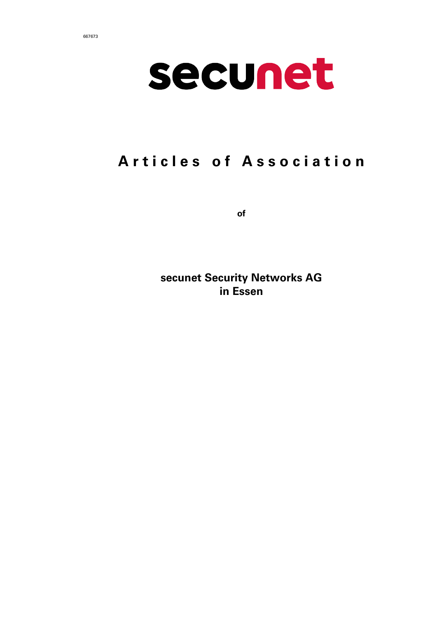



# Articles of Association

of

secunet Security Networks AG in Essen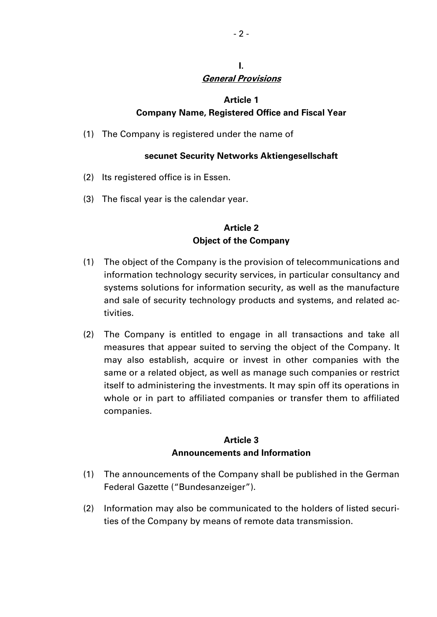#### I. General Provisions

#### Article 1

#### Company Name, Registered Office and Fiscal Year

(1) The Company is registered under the name of

#### secunet Security Networks Aktiengesellschaft

- (2) Its registered office is in Essen.
- (3) The fiscal year is the calendar year.

#### Article 2 Object of the Company

- (1) The object of the Company is the provision of telecommunications and information technology security services, in particular consultancy and systems solutions for information security, as well as the manufacture and sale of security technology products and systems, and related activities.
- (2) The Company is entitled to engage in all transactions and take all measures that appear suited to serving the object of the Company. It may also establish, acquire or invest in other companies with the same or a related object, as well as manage such companies or restrict itself to administering the investments. It may spin off its operations in whole or in part to affiliated companies or transfer them to affiliated companies.

## Article 3 Announcements and Information

- (1) The announcements of the Company shall be published in the German Federal Gazette ("Bundesanzeiger").
- (2) Information may also be communicated to the holders of listed securities of the Company by means of remote data transmission.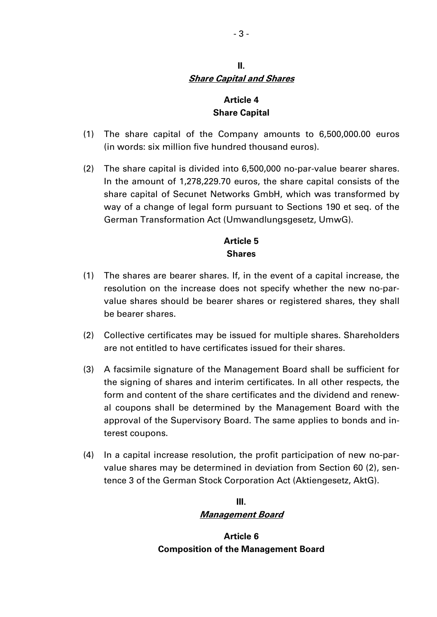#### II. Share Capital and Shares

# Article 4 Share Capital

- (1) The share capital of the Company amounts to 6,500,000.00 euros (in words: six million five hundred thousand euros).
- (2) The share capital is divided into 6,500,000 no-par-value bearer shares. In the amount of 1,278,229.70 euros, the share capital consists of the share capital of Secunet Networks GmbH, which was transformed by way of a change of legal form pursuant to Sections 190 et seq. of the German Transformation Act (Umwandlungsgesetz, UmwG).

#### Article 5 **Shares**

- (1) The shares are bearer shares. If, in the event of a capital increase, the resolution on the increase does not specify whether the new no-parvalue shares should be bearer shares or registered shares, they shall be bearer shares.
- (2) Collective certificates may be issued for multiple shares. Shareholders are not entitled to have certificates issued for their shares.
- (3) A facsimile signature of the Management Board shall be sufficient for the signing of shares and interim certificates. In all other respects, the form and content of the share certificates and the dividend and renewal coupons shall be determined by the Management Board with the approval of the Supervisory Board. The same applies to bonds and interest coupons.
- (4) In a capital increase resolution, the profit participation of new no-parvalue shares may be determined in deviation from Section 60 (2), sentence 3 of the German Stock Corporation Act (Aktiengesetz, AktG).

# III. Management Board

Article 6 Composition of the Management Board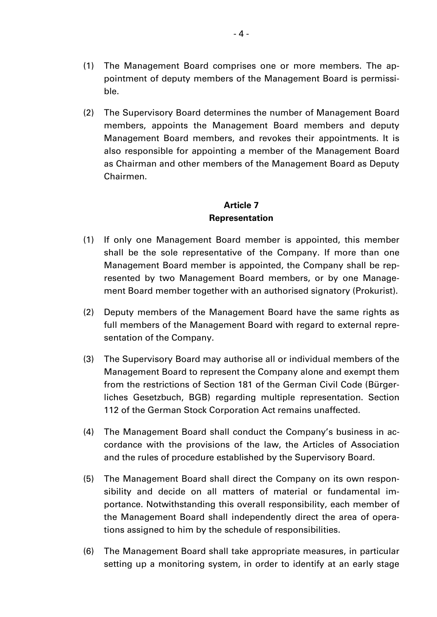- (1) The Management Board comprises one or more members. The appointment of deputy members of the Management Board is permissible.
- (2) The Supervisory Board determines the number of Management Board members, appoints the Management Board members and deputy Management Board members, and revokes their appointments. It is also responsible for appointing a member of the Management Board as Chairman and other members of the Management Board as Deputy Chairmen.

## Article 7 Representation

- (1) If only one Management Board member is appointed, this member shall be the sole representative of the Company. If more than one Management Board member is appointed, the Company shall be represented by two Management Board members, or by one Management Board member together with an authorised signatory (Prokurist).
- (2) Deputy members of the Management Board have the same rights as full members of the Management Board with regard to external representation of the Company.
- (3) The Supervisory Board may authorise all or individual members of the Management Board to represent the Company alone and exempt them from the restrictions of Section 181 of the German Civil Code (Bürgerliches Gesetzbuch, BGB) regarding multiple representation. Section 112 of the German Stock Corporation Act remains unaffected.
- (4) The Management Board shall conduct the Company's business in accordance with the provisions of the law, the Articles of Association and the rules of procedure established by the Supervisory Board.
- (5) The Management Board shall direct the Company on its own responsibility and decide on all matters of material or fundamental importance. Notwithstanding this overall responsibility, each member of the Management Board shall independently direct the area of operations assigned to him by the schedule of responsibilities.
- (6) The Management Board shall take appropriate measures, in particular setting up a monitoring system, in order to identify at an early stage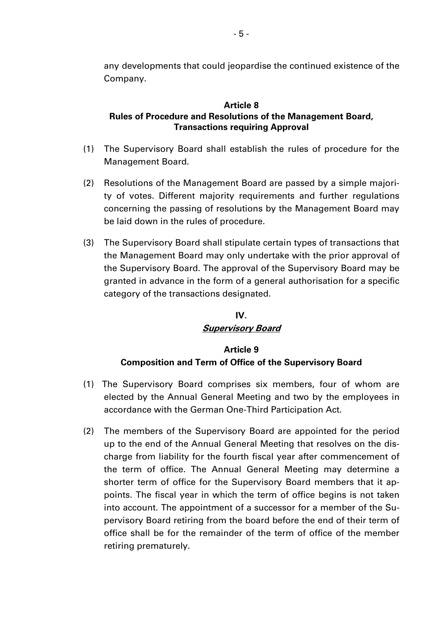any developments that could jeopardise the continued existence of the Company.

#### Article 8 Rules of Procedure and Resolutions of the Management Board, Transactions requiring Approval

- (1) The Supervisory Board shall establish the rules of procedure for the Management Board.
- (2) Resolutions of the Management Board are passed by a simple majority of votes. Different majority requirements and further regulations concerning the passing of resolutions by the Management Board may be laid down in the rules of procedure.
- (3) The Supervisory Board shall stipulate certain types of transactions that the Management Board may only undertake with the prior approval of the Supervisory Board. The approval of the Supervisory Board may be granted in advance in the form of a general authorisation for a specific category of the transactions designated.

# IV. Supervisory Board

# Article 9 Composition and Term of Office of the Supervisory Board

- (1) The Supervisory Board comprises six members, four of whom are elected by the Annual General Meeting and two by the employees in accordance with the German One-Third Participation Act.
- (2) The members of the Supervisory Board are appointed for the period up to the end of the Annual General Meeting that resolves on the discharge from liability for the fourth fiscal year after commencement of the term of office. The Annual General Meeting may determine a shorter term of office for the Supervisory Board members that it appoints. The fiscal year in which the term of office begins is not taken into account. The appointment of a successor for a member of the Supervisory Board retiring from the board before the end of their term of office shall be for the remainder of the term of office of the member retiring prematurely.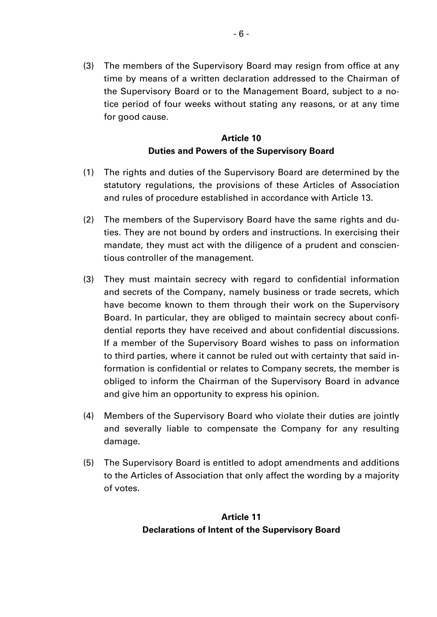(3) The members of the Supervisory Board may resign from office at any time by means of a written declaration addressed to the Chairman of the Supervisory Board or to the Management Board, subject to a notice period of four weeks without stating any reasons, or at any time for good cause.

#### Article 10 Duties and Powers of the Supervisory Board

- (1) The rights and duties of the Supervisory Board are determined by the statutory regulations, the provisions of these Articles of Association and rules of procedure established in accordance with Article 13.
- (2) The members of the Supervisory Board have the same rights and duties. They are not bound by orders and instructions. In exercising their mandate, they must act with the diligence of a prudent and conscientious controller of the management.
- (3) They must maintain secrecy with regard to confidential information and secrets of the Company, namely business or trade secrets, which have become known to them through their work on the Supervisory Board. In particular, they are obliged to maintain secrecy about confidential reports they have received and about confidential discussions. If a member of the Supervisory Board wishes to pass on information to third parties, where it cannot be ruled out with certainty that said information is confidential or relates to Company secrets, the member is obliged to inform the Chairman of the Supervisory Board in advance and give him an opportunity to express his opinion.
- (4) Members of the Supervisory Board who violate their duties are jointly and severally liable to compensate the Company for any resulting damage.
- (5) The Supervisory Board is entitled to adopt amendments and additions to the Articles of Association that only affect the wording by a majority of votes.

## Article 11 Declarations of Intent of the Supervisory Board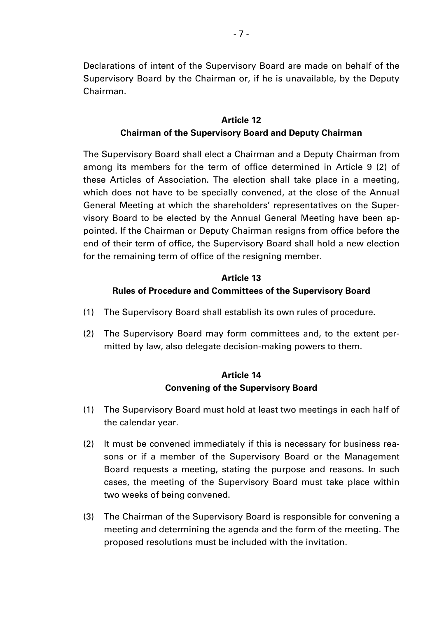Declarations of intent of the Supervisory Board are made on behalf of the Supervisory Board by the Chairman or, if he is unavailable, by the Deputy Chairman.

#### Article 12 Chairman of the Supervisory Board and Deputy Chairman

The Supervisory Board shall elect a Chairman and a Deputy Chairman from among its members for the term of office determined in Article 9 (2) of these Articles of Association. The election shall take place in a meeting, which does not have to be specially convened, at the close of the Annual General Meeting at which the shareholders' representatives on the Supervisory Board to be elected by the Annual General Meeting have been appointed. If the Chairman or Deputy Chairman resigns from office before the end of their term of office, the Supervisory Board shall hold a new election for the remaining term of office of the resigning member.

#### Article 13

#### Rules of Procedure and Committees of the Supervisory Board

- (1) The Supervisory Board shall establish its own rules of procedure.
- (2) The Supervisory Board may form committees and, to the extent permitted by law, also delegate decision-making powers to them.

#### Article 14 Convening of the Supervisory Board

- (1) The Supervisory Board must hold at least two meetings in each half of the calendar year.
- (2) It must be convened immediately if this is necessary for business reasons or if a member of the Supervisory Board or the Management Board requests a meeting, stating the purpose and reasons. In such cases, the meeting of the Supervisory Board must take place within two weeks of being convened.
- (3) The Chairman of the Supervisory Board is responsible for convening a meeting and determining the agenda and the form of the meeting. The proposed resolutions must be included with the invitation.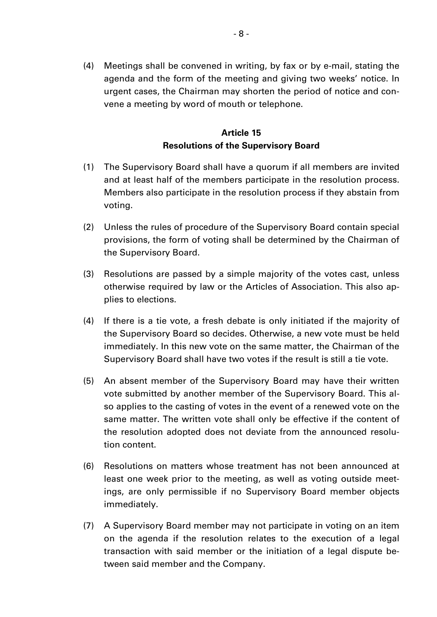(4) Meetings shall be convened in writing, by fax or by e-mail, stating the agenda and the form of the meeting and giving two weeks' notice. In urgent cases, the Chairman may shorten the period of notice and convene a meeting by word of mouth or telephone.

# Article 15 Resolutions of the Supervisory Board

- (1) The Supervisory Board shall have a quorum if all members are invited and at least half of the members participate in the resolution process. Members also participate in the resolution process if they abstain from voting.
- (2) Unless the rules of procedure of the Supervisory Board contain special provisions, the form of voting shall be determined by the Chairman of the Supervisory Board.
- (3) Resolutions are passed by a simple majority of the votes cast, unless otherwise required by law or the Articles of Association. This also applies to elections.
- (4) If there is a tie vote, a fresh debate is only initiated if the majority of the Supervisory Board so decides. Otherwise, a new vote must be held immediately. In this new vote on the same matter, the Chairman of the Supervisory Board shall have two votes if the result is still a tie vote.
- (5) An absent member of the Supervisory Board may have their written vote submitted by another member of the Supervisory Board. This also applies to the casting of votes in the event of a renewed vote on the same matter. The written vote shall only be effective if the content of the resolution adopted does not deviate from the announced resolution content.
- (6) Resolutions on matters whose treatment has not been announced at least one week prior to the meeting, as well as voting outside meetings, are only permissible if no Supervisory Board member objects immediately.
- (7) A Supervisory Board member may not participate in voting on an item on the agenda if the resolution relates to the execution of a legal transaction with said member or the initiation of a legal dispute between said member and the Company.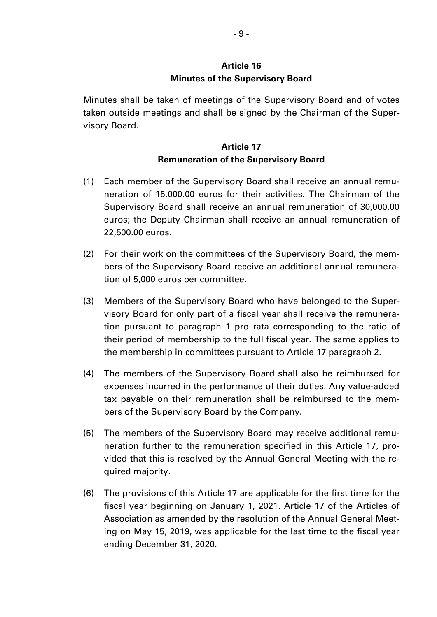#### Article 16 Minutes of the Supervisory Board

Minutes shall be taken of meetings of the Supervisory Board and of votes taken outside meetings and shall be signed by the Chairman of the Supervisory Board.

## Article 17 Remuneration of the Supervisory Board

- (1) Each member of the Supervisory Board shall receive an annual remuneration of 15,000.00 euros for their activities. The Chairman of the Supervisory Board shall receive an annual remuneration of 30,000.00 euros; the Deputy Chairman shall receive an annual remuneration of 22,500.00 euros.
- (2) For their work on the committees of the Supervisory Board, the members of the Supervisory Board receive an additional annual remuneration of 5,000 euros per committee.
- (3) Members of the Supervisory Board who have belonged to the Supervisory Board for only part of a fiscal year shall receive the remuneration pursuant to paragraph 1 pro rata corresponding to the ratio of their period of membership to the full fiscal year. The same applies to the membership in committees pursuant to Article 17 paragraph 2.
- (4) The members of the Supervisory Board shall also be reimbursed for expenses incurred in the performance of their duties. Any value-added tax payable on their remuneration shall be reimbursed to the members of the Supervisory Board by the Company.
- (5) The members of the Supervisory Board may receive additional remuneration further to the remuneration specified in this Article 17, provided that this is resolved by the Annual General Meeting with the required majority.
- (6) The provisions of this Article 17 are applicable for the first time for the fiscal year beginning on January 1, 2021. Article 17 of the Articles of Association as amended by the resolution of the Annual General Meeting on May 15, 2019, was applicable for the last time to the fiscal year ending December 31, 2020.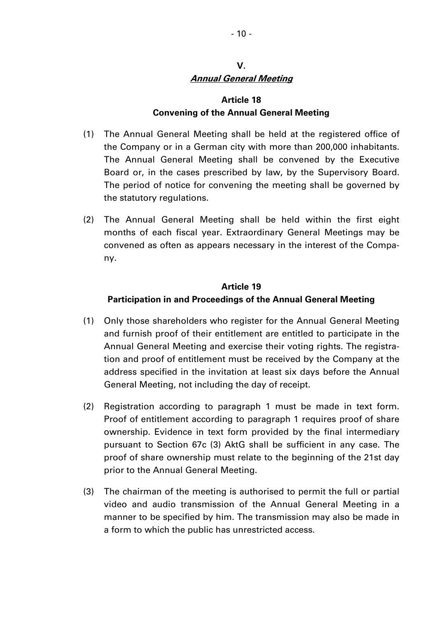## V. Annual General Meeting

#### Article 18 Convening of the Annual General Meeting

- (1) The Annual General Meeting shall be held at the registered office of the Company or in a German city with more than 200,000 inhabitants. The Annual General Meeting shall be convened by the Executive Board or, in the cases prescribed by law, by the Supervisory Board. The period of notice for convening the meeting shall be governed by the statutory regulations.
- (2) The Annual General Meeting shall be held within the first eight months of each fiscal year. Extraordinary General Meetings may be convened as often as appears necessary in the interest of the Company.

#### Article 19

#### Participation in and Proceedings of the Annual General Meeting

- (1) Only those shareholders who register for the Annual General Meeting and furnish proof of their entitlement are entitled to participate in the Annual General Meeting and exercise their voting rights. The registration and proof of entitlement must be received by the Company at the address specified in the invitation at least six days before the Annual General Meeting, not including the day of receipt.
- (2) Registration according to paragraph 1 must be made in text form. Proof of entitlement according to paragraph 1 requires proof of share ownership. Evidence in text form provided by the final intermediary pursuant to Section 67c (3) AktG shall be sufficient in any case. The proof of share ownership must relate to the beginning of the 21st day prior to the Annual General Meeting.
- (3) The chairman of the meeting is authorised to permit the full or partial video and audio transmission of the Annual General Meeting in a manner to be specified by him. The transmission may also be made in a form to which the public has unrestricted access.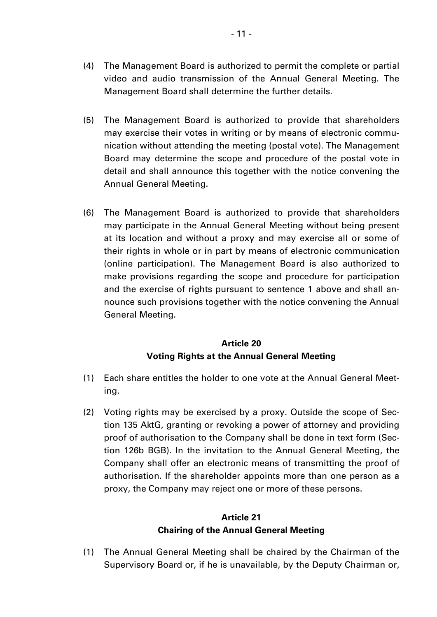- (4) The Management Board is authorized to permit the complete or partial video and audio transmission of the Annual General Meeting. The Management Board shall determine the further details.
- (5) The Management Board is authorized to provide that shareholders may exercise their votes in writing or by means of electronic communication without attending the meeting (postal vote). The Management Board may determine the scope and procedure of the postal vote in detail and shall announce this together with the notice convening the Annual General Meeting.
- (6) The Management Board is authorized to provide that shareholders may participate in the Annual General Meeting without being present at its location and without a proxy and may exercise all or some of their rights in whole or in part by means of electronic communication (online participation). The Management Board is also authorized to make provisions regarding the scope and procedure for participation and the exercise of rights pursuant to sentence 1 above and shall announce such provisions together with the notice convening the Annual General Meeting.

# Article 20 Voting Rights at the Annual General Meeting

- (1) Each share entitles the holder to one vote at the Annual General Meeting.
- (2) Voting rights may be exercised by a proxy. Outside the scope of Section 135 AktG, granting or revoking a power of attorney and providing proof of authorisation to the Company shall be done in text form (Section 126b BGB). In the invitation to the Annual General Meeting, the Company shall offer an electronic means of transmitting the proof of authorisation. If the shareholder appoints more than one person as a proxy, the Company may reject one or more of these persons.

# Article 21 Chairing of the Annual General Meeting

(1) The Annual General Meeting shall be chaired by the Chairman of the Supervisory Board or, if he is unavailable, by the Deputy Chairman or,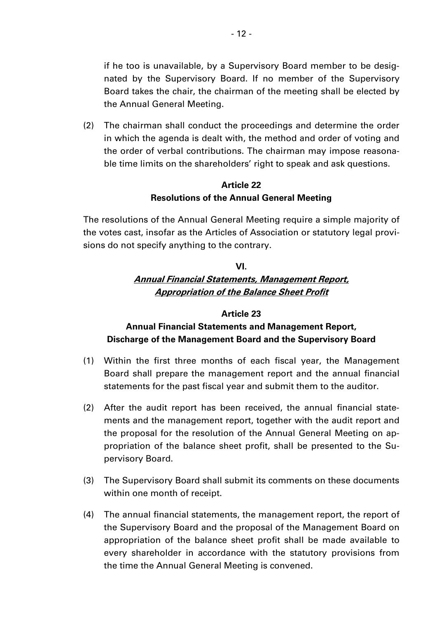if he too is unavailable, by a Supervisory Board member to be designated by the Supervisory Board. If no member of the Supervisory Board takes the chair, the chairman of the meeting shall be elected by the Annual General Meeting.

(2) The chairman shall conduct the proceedings and determine the order in which the agenda is dealt with, the method and order of voting and the order of verbal contributions. The chairman may impose reasonable time limits on the shareholders' right to speak and ask questions.

#### Article 22 Resolutions of the Annual General Meeting

The resolutions of the Annual General Meeting require a simple majority of the votes cast, insofar as the Articles of Association or statutory legal provisions do not specify anything to the contrary.

## VI. Annual Financial Statements, Management Report, Appropriation of the Balance Sheet Profit

#### Article 23

# Annual Financial Statements and Management Report, Discharge of the Management Board and the Supervisory Board

- (1) Within the first three months of each fiscal year, the Management Board shall prepare the management report and the annual financial statements for the past fiscal year and submit them to the auditor.
- (2) After the audit report has been received, the annual financial statements and the management report, together with the audit report and the proposal for the resolution of the Annual General Meeting on appropriation of the balance sheet profit, shall be presented to the Supervisory Board.
- (3) The Supervisory Board shall submit its comments on these documents within one month of receipt.
- (4) The annual financial statements, the management report, the report of the Supervisory Board and the proposal of the Management Board on appropriation of the balance sheet profit shall be made available to every shareholder in accordance with the statutory provisions from the time the Annual General Meeting is convened.